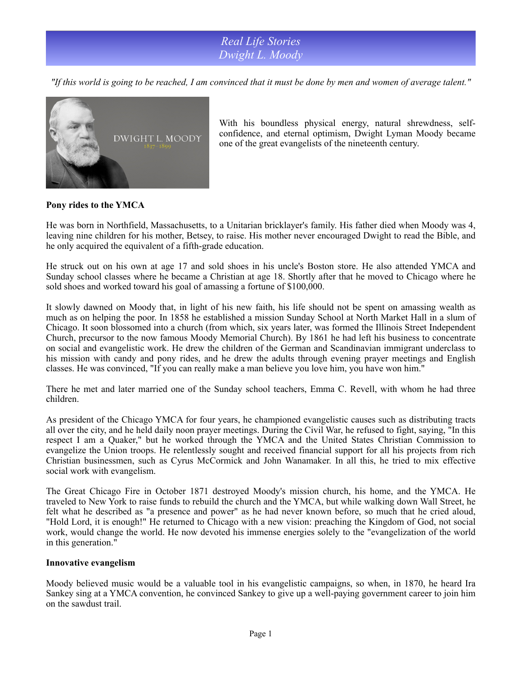*Real Life Stories Dwight L. Moody*

*"If this world is going to be reached, I am convinced that it must be done by men and women of average talent."*



With his boundless physical energy, natural shrewdness, selfconfidence, and eternal optimism, Dwight Lyman Moody became one of the great evangelists of the nineteenth century.

## **Pony rides to the YMCA**

He was born in Northfield, Massachusetts, to a Unitarian bricklayer's family. His father died when Moody was 4, leaving nine children for his mother, Betsey, to raise. His mother never encouraged Dwight to read the Bible, and he only acquired the equivalent of a fifth-grade education.

He struck out on his own at age 17 and sold shoes in his uncle's Boston store. He also attended YMCA and Sunday school classes where he became a Christian at age 18. Shortly after that he moved to Chicago where he sold shoes and worked toward his goal of amassing a fortune of \$100,000.

It slowly dawned on Moody that, in light of his new faith, his life should not be spent on amassing wealth as much as on helping the poor. In 1858 he established a mission Sunday School at North Market Hall in a slum of Chicago. It soon blossomed into a church (from which, six years later, was formed the Illinois Street Independent Church, precursor to the now famous Moody Memorial Church). By 1861 he had left his business to concentrate on social and evangelistic work. He drew the children of the German and Scandinavian immigrant underclass to his mission with candy and pony rides, and he drew the adults through evening prayer meetings and English classes. He was convinced, "If you can really make a man believe you love him, you have won him."

There he met and later married one of the Sunday school teachers, Emma C. Revell, with whom he had three children.

As president of the Chicago YMCA for four years, he championed evangelistic causes such as distributing tracts all over the city, and he held daily noon prayer meetings. During the Civil War, he refused to fight, saying, "In this respect I am a Quaker," but he worked through the YMCA and the United States Christian Commission to evangelize the Union troops. He relentlessly sought and received financial support for all his projects from rich Christian businessmen, such as Cyrus McCormick and John Wanamaker. In all this, he tried to mix effective social work with evangelism.

The Great Chicago Fire in October 1871 destroyed Moody's mission church, his home, and the YMCA. He traveled to New York to raise funds to rebuild the church and the YMCA, but while walking down Wall Street, he felt what he described as "a presence and power" as he had never known before, so much that he cried aloud, "Hold Lord, it is enough!" He returned to Chicago with a new vision: preaching the Kingdom of God, not social work, would change the world. He now devoted his immense energies solely to the "evangelization of the world in this generation."

## **Innovative evangelism**

Moody believed music would be a valuable tool in his evangelistic campaigns, so when, in 1870, he heard Ira Sankey sing at a YMCA convention, he convinced Sankey to give up a well-paying government career to join him on the sawdust trail.